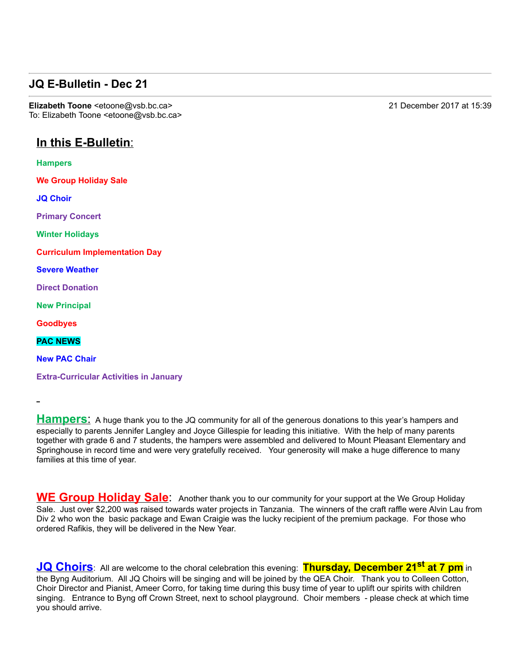### **JQ E-Bulletin - Dec 21**

**Elizabeth Toone** <etoone@vsb.bc.ca> 21 December 2017 at 15:39 To: Elizabeth Toone <etoone@vsb.bc.ca>

# **In this E-Bulletin:**

**Hampers**

**We Group Holiday Sale**

**JQ Choir**

**Primary Concert**

**Winter Holidays**

**Curriculum Implementation Day**

**Severe Weather**

**Direct Donation**

**New Principal**

**Goodbyes**

**PAC NEWS**

**New PAC Chair**

**Extra-Curricular Activities in January** 

**Hampers:** A huge thank you to the JQ community for all of the generous donations to this year's hampers and especially to parents Jennifer Langley and Joyce Gillespie for leading this initiative. With the help of many parents together with grade 6 and 7 students, the hampers were assembled and delivered to Mount Pleasant Elementary and Springhouse in record time and were very gratefully received. Your generosity will make a huge difference to many families at this time of year.

**WE Group Holiday Sale**: Another thank you to our community for your support at the We Group Holiday Sale. Just over \$2,200 was raised towards water projects in Tanzania. The winners of the craft raffle were Alvin Lau from Div 2 who won the basic package and Ewan Craigie was the lucky recipient of the premium package. For those who ordered Rafikis, they will be delivered in the New Year.

 $JQ$  Choirs: All are welcome to the choral celebration this evening: Thursday, December 21<sup>st</sup> at 7 pm in the Byng Auditorium. All JQ Choirs will be singing and will be joined by the QEA Choir. Thank you to Colleen Cotton, Choir Director and Pianist, Ameer Corro, for taking time during this busy time of year to uplift our spirits with children singing. Entrance to Byng off Crown Street, next to school playground. Choir members - please check at which time you should arrive.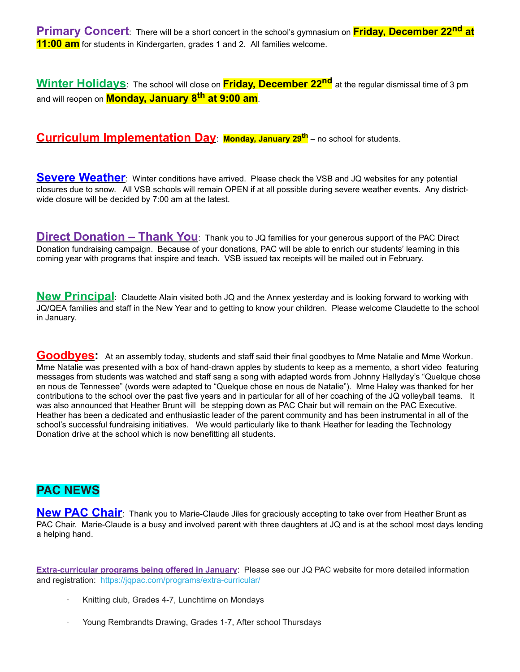**Primary Concert**: There will be a short concert in the school's gymnasium on **Friday, December 22nd at 11:00 am** for students in Kindergarten, grades 1 and 2. All families welcome.

**Winter Holidays**: The school will close on **Friday, December 22nd** at the regular dismissal time of 3 pm and will reopen on **Monday, January 8th at 9:00 am**.

#### **Curriculum Implementation Day**: **Monday, January 29th** – no school for students.

**Severe Weather**: Winter conditions have arrived. Please check the VSB and JQ websites for any potential closures due to snow. All VSB schools will remain OPEN if at all possible during severe weather events. Any districtwide closure will be decided by 7:00 am at the latest.

**Direct Donation – Thank You**: Thank you to JQ families for your generous support of the PAC Direct Donation fundraising campaign. Because of your donations, PAC will be able to enrich our students' learning in this coming year with programs that inspire and teach. VSB issued tax receipts will be mailed out in February.

**New Principal**: Claudette Alain visited both JQ and the Annex yesterday and is looking forward to working with JQ/QEA families and staff in the New Year and to getting to know your children. Please welcome Claudette to the school in January.

**Goodbyes:** At an assembly today, students and staff said their final goodbyes to Mme Natalie and Mme Workun. Mme Natalie was presented with a box of hand-drawn apples by students to keep as a memento, a short video featuring messages from students was watched and staff sang a song with adapted words from Johnny Hallyday's "Quelque chose en nous de Tennessee" (words were adapted to "Quelque chose en nous de Natalie"). Mme Haley was thanked for her contributions to the school over the past five years and in particular for all of her coaching of the JQ volleyball teams. It was also announced that Heather Brunt will be stepping down as PAC Chair but will remain on the PAC Executive. Heather has been a dedicated and enthusiastic leader of the parent community and has been instrumental in all of the school's successful fundraising initiatives. We would particularly like to thank Heather for leading the Technology Donation drive at the school which is now benefitting all students.

## **PAC NEWS**

**New PAC Chair**: Thank you to Marie-Claude Jiles for graciously accepting to take over from Heather Brunt as PAC Chair. Marie-Claude is a busy and involved parent with three daughters at JQ and is at the school most days lending a helping hand.

**Extra-curricular programs being offered in January:** Please see our JQ PAC website for more detailed information and registration: https://jqpac.com/programs/extra-curricular/

- Knitting club, Grades 4-7, Lunchtime on Mondays
- Young Rembrandts Drawing, Grades 1-7, After school Thursdays